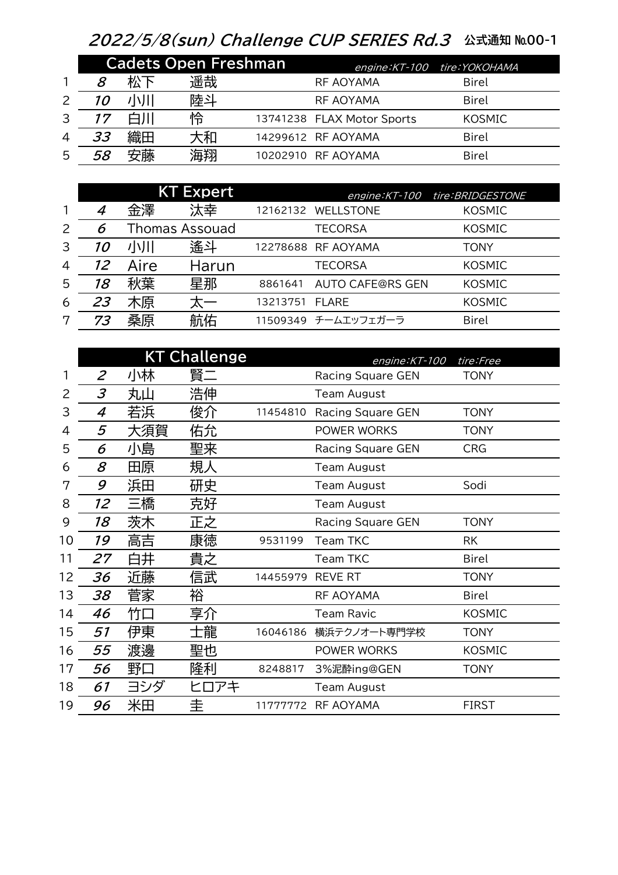## 2022/5/8(sun) Challenge CUP SERIES Rd.3 公式通知 №00-1

|   | <b>Cadets Open Freshman</b> |    |    |  | $engine:KT-100$            | tire:YOKOHAMA |
|---|-----------------------------|----|----|--|----------------------------|---------------|
|   | 8                           | 松下 | 遥哉 |  | RF AOYAMA                  | Birel         |
|   | <i>10</i>                   |    | 陸斗 |  | RF AOYAMA                  | <b>Birel</b>  |
| 3 | 17                          |    | 怜  |  | 13741238 FLAX Motor Sports | <b>KOSMIC</b> |
| 4 | 33                          | 織田 | 大和 |  | 14299612 RF AOYAMA         | Birel         |
| 5 | 58                          | 安藤 | 海翔 |  | 10202910 RF AOYAMA         | Birel         |

|   |    |      | <b>KT Expert</b> |          | engine: KT-100          | tire: BRIDGESTONE |
|---|----|------|------------------|----------|-------------------------|-------------------|
| 1 | 4  | 金澤   | 汰幸               | 12162132 | <b>WELLSTONE</b>        | <b>KOSMIC</b>     |
| 2 | 6  |      | Thomas Assouad   |          | <b>TECORSA</b>          | <b>KOSMIC</b>     |
| 3 | 10 | 小川   | 遙斗               |          | 12278688 RF AOYAMA      | TONY              |
| 4 | 12 | Aire | Harun            |          | <b>TECORSA</b>          | <b>KOSMIC</b>     |
| 5 | 18 | 秋葉   | 星那               | 8861641  | <b>AUTO CAFE@RS GEN</b> | <b>KOSMIC</b>     |
| 6 | 23 | 木原   |                  | 13213751 | <b>FLARE</b>            | <b>KOSMIC</b>     |
| 7 | 73 | 桑原   | 航佑               |          | 11509349 チームエッフェガーラ     | <b>Birel</b>      |

|    |                |     | <b>KT Challenge</b> |          | engine: KT-100<br>tire:Free |               |  |
|----|----------------|-----|---------------------|----------|-----------------------------|---------------|--|
| 1  | $\overline{2}$ | 小林  | 賢二                  |          | <b>Racing Square GEN</b>    | <b>TONY</b>   |  |
| 2  | 3              | 丸山  | 浩伸                  |          | <b>Team August</b>          |               |  |
| 3  | 4              | 若浜  | 俊介                  | 11454810 | <b>Racing Square GEN</b>    | <b>TONY</b>   |  |
| 4  | 5              | 大須賀 | 佑允                  |          | POWER WORKS                 | <b>TONY</b>   |  |
| 5  | 6              | 小島  | 聖来                  |          | Racing Square GEN           | <b>CRG</b>    |  |
| 6  | 8              | 田原  | 規人                  |          | <b>Team August</b>          |               |  |
| 7  | 9              | 浜田  | 研史                  |          | <b>Team August</b>          | Sodi          |  |
| 8  | 12             | 三橋  | 克好                  |          | <b>Team August</b>          |               |  |
| 9  | 18             | 茨木  | 正之                  |          | <b>Racing Square GEN</b>    | <b>TONY</b>   |  |
| 10 | 19             | 高吉  | 康徳                  | 9531199  | Team TKC                    | <b>RK</b>     |  |
| 11 | 27             | 白井  | 貴之                  |          | <b>Team TKC</b>             | <b>Birel</b>  |  |
| 12 | 36             | 近藤  | 信武                  | 14455979 | <b>REVE RT</b>              | <b>TONY</b>   |  |
| 13 | 38             | 菅家  | 裕                   |          | <b>RF AOYAMA</b>            | <b>Birel</b>  |  |
| 14 | 46             | 竹口  | 享介                  |          | <b>Team Ravic</b>           | <b>KOSMIC</b> |  |
| 15 | 51             | 伊東  | 士龍                  | 16046186 | 横浜テクノオート専門学校                | <b>TONY</b>   |  |
| 16 | 55             | 渡邊  | 聖也                  |          | POWER WORKS                 | <b>KOSMIC</b> |  |
| 17 | 56             | 野口  | 隆利                  | 8248817  | 3%泥酔ing@GEN                 | <b>TONY</b>   |  |
| 18 | 61             | ヨシダ | ヒロアキ                |          | Team August                 |               |  |
| 19 | 96             | 米田  | 圭                   | 11777772 | <b>RF AOYAMA</b>            | <b>FIRST</b>  |  |